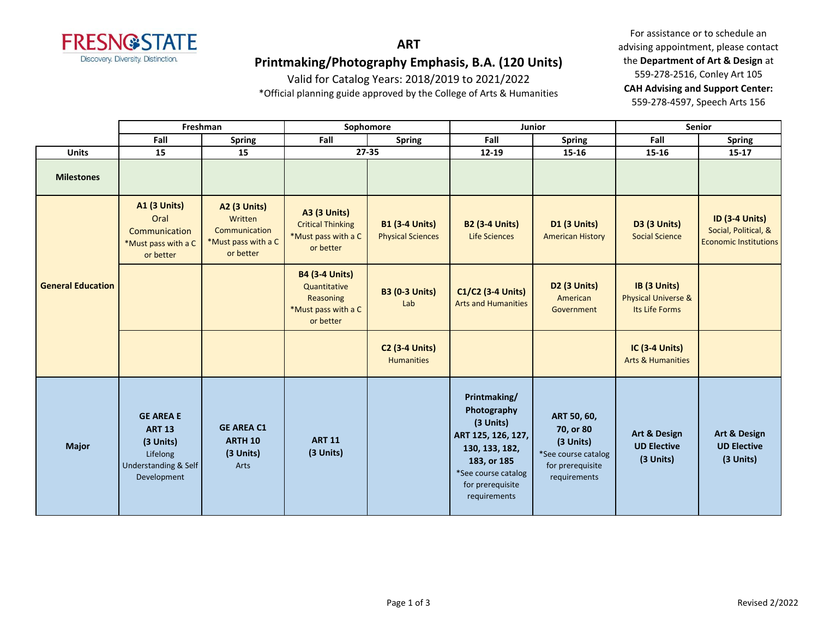

Valid for Catalog Years: 2018/2019 to 2021/2022

\*Official planning guide approved by the College of Arts & Humanities

For assistance or to schedule an advising appointment, please contact the **Department of Art & Design** at 559-278-2516, Conley Art 105 **CAH Advising and Support Center:**  559-278-4597, Speech Arts 156

|                          | Freshman                                                                                          |                                                                                     | Sophomore                                                                              |                                                   | Junior                                                                                                                                                     |                                                                                                  | <b>Senior</b>                                                    |                                                                               |
|--------------------------|---------------------------------------------------------------------------------------------------|-------------------------------------------------------------------------------------|----------------------------------------------------------------------------------------|---------------------------------------------------|------------------------------------------------------------------------------------------------------------------------------------------------------------|--------------------------------------------------------------------------------------------------|------------------------------------------------------------------|-------------------------------------------------------------------------------|
|                          | Fall<br><b>Spring</b>                                                                             |                                                                                     | Fall                                                                                   | <b>Spring</b>                                     | Fall                                                                                                                                                       | <b>Spring</b>                                                                                    | Fall                                                             | <b>Spring</b>                                                                 |
| <b>Units</b>             | 15                                                                                                | 15                                                                                  |                                                                                        | $27 - 35$                                         | 12-19                                                                                                                                                      | 15-16                                                                                            | 15-16                                                            | $15 - 17$                                                                     |
| <b>Milestones</b>        |                                                                                                   |                                                                                     |                                                                                        |                                                   |                                                                                                                                                            |                                                                                                  |                                                                  |                                                                               |
| <b>General Education</b> | <b>A1 (3 Units)</b><br>Oral<br>Communication<br>*Must pass with a C<br>or better                  | <b>A2 (3 Units)</b><br>Written<br>Communication<br>*Must pass with a C<br>or better | <b>A3 (3 Units)</b><br><b>Critical Thinking</b><br>*Must pass with a C<br>or better    | <b>B1 (3-4 Units)</b><br><b>Physical Sciences</b> | <b>B2 (3-4 Units)</b><br>Life Sciences                                                                                                                     | <b>D1 (3 Units)</b><br><b>American History</b>                                                   | D3 (3 Units)<br><b>Social Science</b>                            | <b>ID (3-4 Units)</b><br>Social, Political, &<br><b>Economic Institutions</b> |
|                          |                                                                                                   |                                                                                     | <b>B4 (3-4 Units)</b><br>Quantitative<br>Reasoning<br>*Must pass with a C<br>or better | <b>B3 (0-3 Units)</b><br>Lab                      | C1/C2 (3-4 Units)<br><b>Arts and Humanities</b>                                                                                                            | <b>D2 (3 Units)</b><br>American<br>Government                                                    | IB (3 Units)<br><b>Physical Universe &amp;</b><br>Its Life Forms |                                                                               |
|                          |                                                                                                   |                                                                                     |                                                                                        | <b>C2 (3-4 Units)</b><br><b>Humanities</b>        |                                                                                                                                                            |                                                                                                  | <b>IC (3-4 Units)</b><br><b>Arts &amp; Humanities</b>            |                                                                               |
| <b>Major</b>             | <b>GE AREA E</b><br><b>ART 13</b><br>(3 Units)<br>Lifelong<br>Understanding & Self<br>Development | <b>GE AREA C1</b><br><b>ARTH 10</b><br>(3 Units)<br>Arts                            | <b>ART 11</b><br>(3 Units)                                                             |                                                   | Printmaking/<br>Photography<br>(3 Units)<br>ART 125, 126, 127,<br>130, 133, 182,<br>183, or 185<br>*See course catalog<br>for prerequisite<br>requirements | ART 50, 60,<br>70, or 80<br>(3 Units)<br>*See course catalog<br>for prerequisite<br>requirements | Art & Design<br><b>UD Elective</b><br>(3 Units)                  | <b>Art &amp; Design</b><br><b>UD Elective</b><br>(3 Units)                    |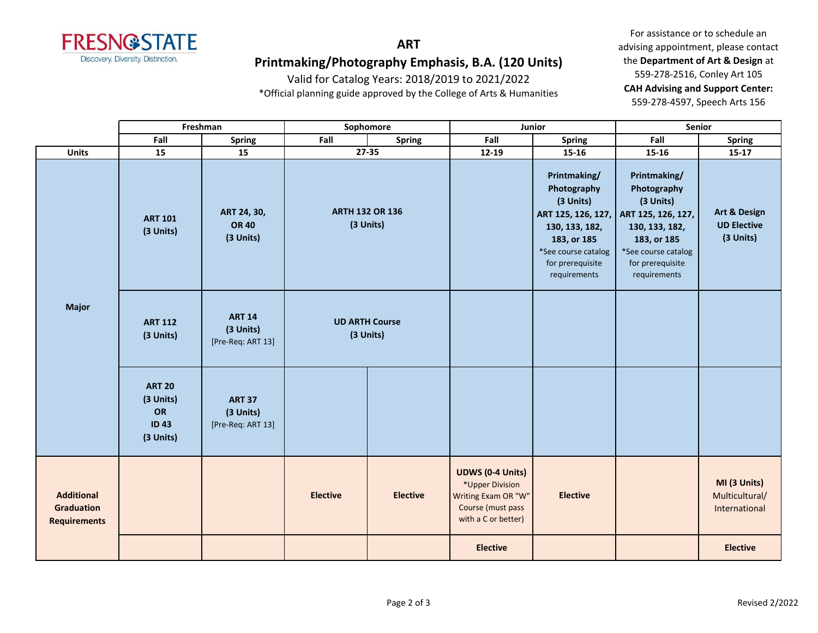

Valid for Catalog Years: 2018/2019 to 2021/2022

\*Official planning guide approved by the College of Arts & Humanities

For assistance or to schedule an advising appointment, please contact the **Department of Art & Design** at 559-278-2516, Conley Art 105 **CAH Advising and Support Center:**  559-278-4597, Speech Arts 156

|                                                               | Freshman                                                     |                                                 | Sophomore                           |                 | Junior                                                                                                        |                                                                                                                                      | Senior                                                                                                                                                                        |                                                 |
|---------------------------------------------------------------|--------------------------------------------------------------|-------------------------------------------------|-------------------------------------|-----------------|---------------------------------------------------------------------------------------------------------------|--------------------------------------------------------------------------------------------------------------------------------------|-------------------------------------------------------------------------------------------------------------------------------------------------------------------------------|-------------------------------------------------|
|                                                               | Fall                                                         | <b>Spring</b>                                   | Fall                                | <b>Spring</b>   | Fall                                                                                                          | <b>Spring</b>                                                                                                                        | Fall                                                                                                                                                                          | <b>Spring</b>                                   |
| <b>Units</b>                                                  | 15                                                           | 15                                              |                                     | $27 - 35$       | 12-19                                                                                                         | 15-16                                                                                                                                | 15-16                                                                                                                                                                         | $15 - 17$                                       |
| <b>Major</b>                                                  | <b>ART 101</b><br>(3 Units)                                  | ART 24, 30,<br><b>OR 40</b><br>(3 Units)        | <b>ARTH 132 OR 136</b><br>(3 Units) |                 |                                                                                                               | Printmaking/<br>Photography<br>(3 Units)<br>130, 133, 182,<br>183, or 185<br>*See course catalog<br>for prerequisite<br>requirements | Printmaking/<br>Photography<br>(3 Units)<br>ART 125, 126, 127, ART 125, 126, 127,<br>130, 133, 182,<br>183, or 185<br>*See course catalog<br>for prerequisite<br>requirements | Art & Design<br><b>UD Elective</b><br>(3 Units) |
|                                                               | <b>ART 112</b><br>(3 Units)                                  | <b>ART 14</b><br>(3 Units)<br>[Pre-Req: ART 13] | <b>UD ARTH Course</b><br>(3 Units)  |                 |                                                                                                               |                                                                                                                                      |                                                                                                                                                                               |                                                 |
|                                                               | <b>ART 20</b><br>(3 Units)<br>OR<br><b>ID43</b><br>(3 Units) | <b>ART 37</b><br>(3 Units)<br>[Pre-Req: ART 13] |                                     |                 |                                                                                                               |                                                                                                                                      |                                                                                                                                                                               |                                                 |
| <b>Additional</b><br><b>Graduation</b><br><b>Requirements</b> |                                                              |                                                 | <b>Elective</b>                     | <b>Elective</b> | <b>UDWS (0-4 Units)</b><br>*Upper Division<br>Writing Exam OR "W"<br>Course (must pass<br>with a C or better) | <b>Elective</b>                                                                                                                      |                                                                                                                                                                               | MI (3 Units)<br>Multicultural/<br>International |
|                                                               |                                                              |                                                 |                                     |                 | <b>Elective</b>                                                                                               |                                                                                                                                      |                                                                                                                                                                               | <b>Elective</b>                                 |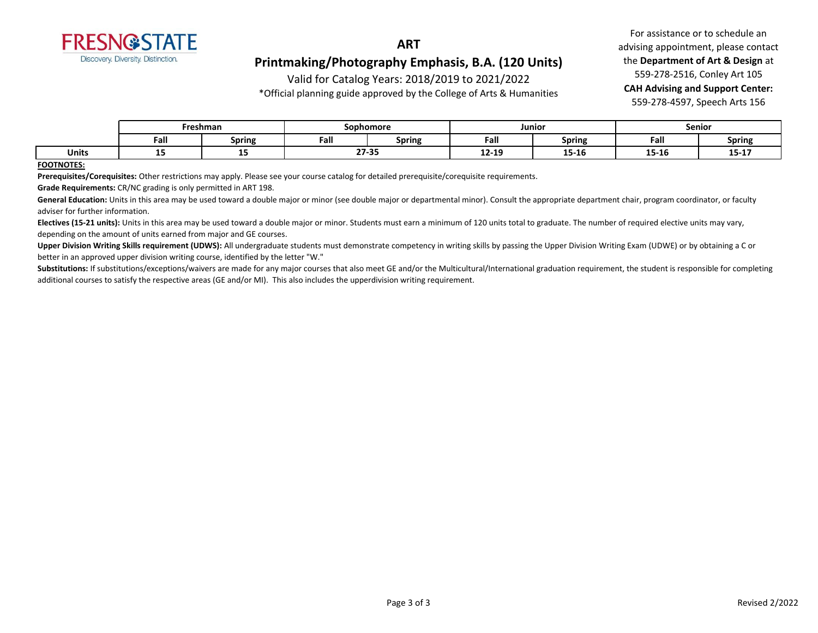

Valid for Catalog Years: 2018/2019 to 2021/2022

\*Official planning guide approved by the College of Arts & Humanities

For assistance or to schedule an advising appointment, please contact the **Department of Art & Design** at 559-278-2516, Conley Art 105 **CAH Advising and Support Center:**  559-278-4597, Speech Arts 156

|              | Freshman |               | Sophomore      |        | Junior    |                           | Senior                   |                |
|--------------|----------|---------------|----------------|--------|-----------|---------------------------|--------------------------|----------------|
|              | Fall     | <b>Spring</b> | Eal<br>raı.    | Spring | Fall      | <b>Spring</b>             | Fall                     | <b>Spring</b>  |
| <b>Units</b> | --       | --            | 27.25<br>Z1-35 |        | $12 - 19$ | --<br>$\epsilon$<br>T3-T0 | 4 P. 4 C<br>. .<br>12-TP | -- --<br>13-T1 |

#### **FOOTNOTES:**

**Prerequisites/Corequisites:** Other restrictions may apply. Please see your course catalog for detailed prerequisite/corequisite requirements.

**Grade Requirements:** CR/NC grading is only permitted in ART 198.

General Education: Units in this area may be used toward a double major or minor (see double major or departmental minor). Consult the appropriate department chair, program coordinator, or faculty adviser for further information.

**Electives (15-21 units):** Units in this area may be used toward a double major or minor. Students must earn a minimum of 120 units total to graduate. The number of required elective units may vary, depending on the amount of units earned from major and GE courses.

**Upper Division Writing Skills requirement (UDWS):** All undergraduate students must demonstrate competency in writing skills by passing the Upper Division Writing Exam (UDWE) or by obtaining a C or better in an approved upper division writing course, identified by the letter "W."

Substitutions: If substitutions/exceptions/waivers are made for any major courses that also meet GE and/or the Multicultural/International graduation requirement, the student is responsible for completing additional courses to satisfy the respective areas (GE and/or MI). This also includes the upperdivision writing requirement.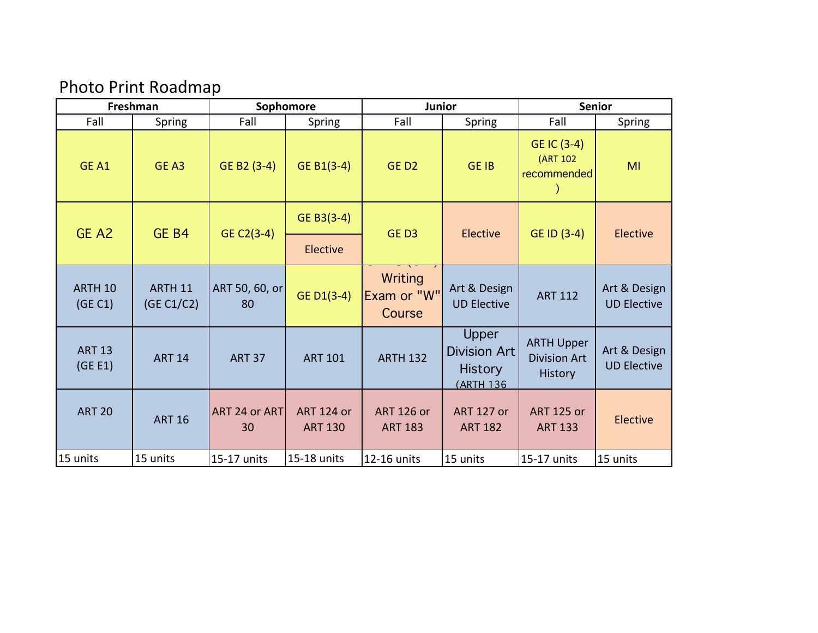# Photo Print Roadmap

| Freshman                 |                       |                      | Sophomore                           | <b>Junior</b>                       |                                                                     | <b>Senior</b>                                              |                                    |  |
|--------------------------|-----------------------|----------------------|-------------------------------------|-------------------------------------|---------------------------------------------------------------------|------------------------------------------------------------|------------------------------------|--|
| Fall                     | <b>Spring</b>         | Fall                 | <b>Spring</b>                       | Fall                                | Spring                                                              | Fall                                                       | Spring                             |  |
| GE A1                    | GE A3                 | GE B2 (3-4)          | GE B1 $(3-4)$                       | GED <sub>2</sub>                    | <b>GE IB</b>                                                        | GE IC (3-4)<br>(ART 102<br>recommended                     | MI                                 |  |
| GE A2                    | GE <sub>B4</sub>      | GE C2(3-4)           | GE B3 $(3-4)$                       | GED3                                | Elective                                                            | GE ID (3-4)                                                | <b>Elective</b>                    |  |
|                          |                       |                      | Elective                            |                                     |                                                                     |                                                            |                                    |  |
| ARTH 10<br>(GE C1)       | ARTH 11<br>(GE C1/C2) | ART 50, 60, or<br>80 | GE D1(3-4)                          | Writing<br>Exam or "W"<br>Course    | Art & Design<br><b>UD Elective</b>                                  | <b>ART 112</b>                                             | Art & Design<br><b>UD Elective</b> |  |
| <b>ART 13</b><br>(GE E1) | <b>ART 14</b>         | <b>ART 37</b>        | <b>ART 101</b>                      | <b>ARTH 132</b>                     | Upper<br><b>Division Art</b><br><b>History</b><br><b>(ARTH 136)</b> | <b>ARTH Upper</b><br><b>Division Art</b><br><b>History</b> | Art & Design<br><b>UD Elective</b> |  |
| <b>ART 20</b>            | <b>ART 16</b>         | ART 24 or ART<br>30  | <b>ART 124 or</b><br><b>ART 130</b> | <b>ART 126 or</b><br><b>ART 183</b> | <b>ART 127 or</b><br><b>ART 182</b>                                 | <b>ART 125 or</b><br><b>ART 133</b>                        | <b>Elective</b>                    |  |
| 15 units                 | 15 units              | 15-17 units          | 15-18 units                         | 12-16 units                         | 15 units                                                            | 15-17 units                                                | 15 units                           |  |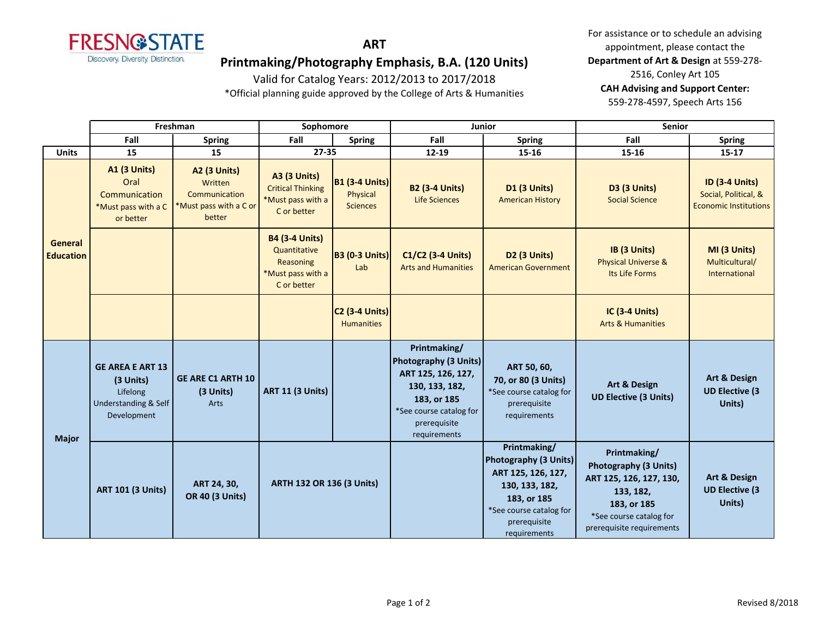

**ART**

## **Printmaking/Photography Emphasis, B.A. (120 Units)**

Valid for Catalog Years: 2012/2013 to 2017/2018

\*Official planning guide approved by the College of Arts & Humanities

For assistance or to schedule an advising appointment, please contact the **Department of Art & Design** at 559-278- 2516, Conley Art 105 **CAH Advising and Support Center:**  559-278-4597, Speech Arts 156

|                             | Freshman                                                                                           |                                                                              | Sophomore                                                                              |                                                      |                                                                                                                                                         | Junior                                                                                                                                                         | <b>Senior</b>                                                                                                                                               |                                                                               |
|-----------------------------|----------------------------------------------------------------------------------------------------|------------------------------------------------------------------------------|----------------------------------------------------------------------------------------|------------------------------------------------------|---------------------------------------------------------------------------------------------------------------------------------------------------------|----------------------------------------------------------------------------------------------------------------------------------------------------------------|-------------------------------------------------------------------------------------------------------------------------------------------------------------|-------------------------------------------------------------------------------|
|                             | Fall                                                                                               | <b>Spring</b>                                                                | Fall                                                                                   | <b>Spring</b>                                        | Fall                                                                                                                                                    | <b>Spring</b>                                                                                                                                                  | Fall                                                                                                                                                        | <b>Spring</b>                                                                 |
| <b>Units</b>                | 15                                                                                                 | 15                                                                           | 27-35                                                                                  |                                                      | $12 - 19$                                                                                                                                               | $15 - 16$                                                                                                                                                      | 15-16                                                                                                                                                       | $15 - 17$                                                                     |
| General<br><b>Education</b> | <b>A1 (3 Units)</b><br>Oral<br>Communication<br>*Must pass with a C<br>or better                   | A2 (3 Units)<br>Written<br>Communication<br>*Must pass with a C or<br>better | <b>A3 (3 Units)</b><br><b>Critical Thinking</b><br>*Must pass with a<br>C or better    | <b>B1 (3-4 Units)</b><br>Physical<br><b>Sciences</b> | <b>B2 (3-4 Units)</b><br><b>Life Sciences</b>                                                                                                           | <b>D1 (3 Units)</b><br><b>American History</b>                                                                                                                 | <b>D3 (3 Units)</b><br><b>Social Science</b>                                                                                                                | <b>ID (3-4 Units)</b><br>Social, Political, &<br><b>Economic Institutions</b> |
|                             |                                                                                                    |                                                                              | <b>B4 (3-4 Units)</b><br>Quantitative<br>Reasoning<br>*Must pass with a<br>C or better | <b>B3 (0-3 Units)</b><br>Lab                         | C1/C2 (3-4 Units)<br><b>Arts and Humanities</b>                                                                                                         | D <sub>2</sub> (3 Units)<br><b>American Government</b>                                                                                                         | IB (3 Units)<br><b>Physical Universe &amp;</b><br>Its Life Forms                                                                                            | MI (3 Units)<br>Multicultural/<br>International                               |
|                             |                                                                                                    |                                                                              |                                                                                        | <b>C2 (3-4 Units)</b><br><b>Humanities</b>           |                                                                                                                                                         |                                                                                                                                                                | <b>IC (3-4 Units)</b><br><b>Arts &amp; Humanities</b>                                                                                                       |                                                                               |
| <b>Major</b>                | <b>GE AREA E ART 13</b><br>(3 Units)<br>Lifelong<br><b>Understanding &amp; Self</b><br>Development | <b>GE ARE C1 ARTH 10</b><br>(3 Units)<br>Arts                                | <b>ART 11 (3 Units)</b>                                                                |                                                      | Printmaking/<br>Photography (3 Units)<br>ART 125, 126, 127,<br>130, 133, 182,<br>183, or 185<br>*See course catalog for<br>prerequisite<br>requirements | ART 50, 60,<br>70, or 80 (3 Units)<br>*See course catalog for<br>prerequisite<br>requirements                                                                  | Art & Design<br><b>UD Elective (3 Units)</b>                                                                                                                | <b>Art &amp; Design</b><br><b>UD Elective (3</b><br>Units)                    |
|                             | <b>ART 101 (3 Units)</b>                                                                           | ART 24, 30,<br><b>OR 40 (3 Units)</b>                                        | <b>ARTH 132 OR 136 (3 Units)</b>                                                       |                                                      |                                                                                                                                                         | Printmaking/<br><b>Photography (3 Units)</b><br>ART 125, 126, 127,<br>130, 133, 182,<br>183, or 185<br>*See course catalog for<br>prerequisite<br>requirements | Printmaking/<br><b>Photography (3 Units)</b><br>ART 125, 126, 127, 130,<br>133, 182,<br>183, or 185<br>*See course catalog for<br>prerequisite requirements | <b>Art &amp; Design</b><br><b>UD Elective (3)</b><br>Units)                   |